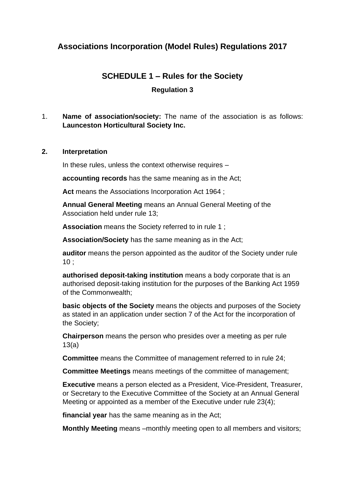# **Associations Incorporation (Model Rules) Regulations 2017**

# **SCHEDULE 1 – Rules for the Society**

# **Regulation 3**

# 1. **Name of association/society:** The name of the association is as follows: **Launceston Horticultural Society Inc.**

### **2. Interpretation**

In these rules, unless the context otherwise requires –

**accounting records** has the same meaning as in the Act;

**Act** means the Associations Incorporation Act 1964 ;

**Annual General Meeting** means an Annual General Meeting of the Association held under rule 13;

**Association** means the Society referred to in rule 1 ;

**Association/Society** has the same meaning as in the Act;

**auditor** means the person appointed as the auditor of the Society under rule  $10:$ 

**authorised deposit-taking institution** means a body corporate that is an authorised deposit-taking institution for the purposes of the Banking Act 1959 of the Commonwealth;

**basic objects of the Society** means the objects and purposes of the Society as stated in an application under section 7 of the Act for the incorporation of the Society;

**Chairperson** means the person who presides over a meeting as per rule 13(a)

**Committee** means the Committee of management referred to in rule 24;

**Committee Meetings** means meetings of the committee of management;

**Executive** means a person elected as a President, Vice-President, Treasurer, or Secretary to the Executive Committee of the Society at an Annual General Meeting or appointed as a member of the Executive under rule 23(4);

**financial year** has the same meaning as in the Act;

**Monthly Meeting** means –monthly meeting open to all members and visitors;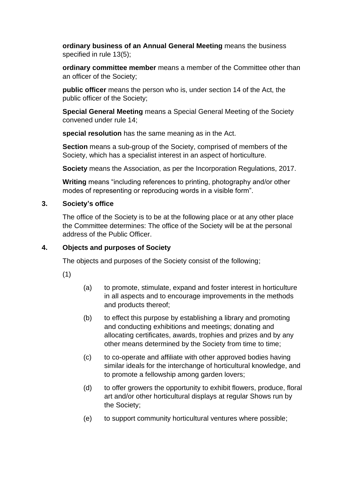**ordinary business of an Annual General Meeting** means the business specified in rule 13(5);

**ordinary committee member** means a member of the Committee other than an officer of the Society;

**public officer** means the person who is, under section 14 of the Act, the public officer of the Society;

**Special General Meeting** means a Special General Meeting of the Society convened under rule 14;

**special resolution** has the same meaning as in the Act.

**Section** means a sub-group of the Society, comprised of members of the Society, which has a specialist interest in an aspect of horticulture.

**Society** means the Association, as per the Incorporation Regulations, 2017.

**Writing** means "including references to printing, photography and/or other modes of representing or reproducing words in a visible form".

### **3. Society's office**

The office of the Society is to be at the following place or at any other place the Committee determines: The office of the Society will be at the personal address of the Public Officer.

# **4. Objects and purposes of Society**

The objects and purposes of the Society consist of the following;

(1)

- (a) to promote, stimulate, expand and foster interest in horticulture in all aspects and to encourage improvements in the methods and products thereof;
- (b) to effect this purpose by establishing a library and promoting and conducting exhibitions and meetings; donating and allocating certificates, awards, trophies and prizes and by any other means determined by the Society from time to time;
- (c) to co-operate and affiliate with other approved bodies having similar ideals for the interchange of horticultural knowledge, and to promote a fellowship among garden lovers;
- (d) to offer growers the opportunity to exhibit flowers, produce, floral art and/or other horticultural displays at regular Shows run by the Society;
- (e) to support community horticultural ventures where possible;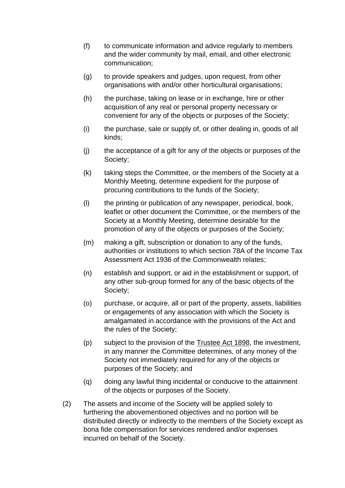- (f) to communicate information and advice regularly to members and the wider community by mail, email, and other electronic communication;
- (g) to provide speakers and judges, upon request, from other organisations with and/or other horticultural organisations;
- (h) the purchase, taking on lease or in exchange, hire or other acquisition of any real or personal property necessary or convenient for any of the objects or purposes of the Society;
- (i) the purchase, sale or supply of, or other dealing in, goods of all kinds;
- (j) the acceptance of a gift for any of the objects or purposes of the Society;
- (k) taking steps the Committee, or the members of the Society at a Monthly Meeting, determine expedient for the purpose of procuring contributions to the funds of the Society;
- (l) the printing or publication of any newspaper, periodical, book, leaflet or other document the Committee, or the members of the Society at a Monthly Meeting, determine desirable for the promotion of any of the objects or purposes of the Society;
- (m) making a gift, subscription or donation to any of the funds, authorities or institutions to which section 78A of the Income Tax Assessment Act 1936 of the Commonwealth relates;
- (n) establish and support, or aid in the establishment or support, of any other sub-group formed for any of the basic objects of the Society;
- (o) purchase, or acquire, all or part of the property, assets, liabilities or engagements of any association with which the Society is amalgamated in accordance with the provisions of the Act and the rules of the Society;
- (p) subject to the provision of the Trustee Act 1898, the investment, in any manner the Committee determines, of any money of the Society not immediately required for any of the objects or purposes of the Society; and
- (q) doing any lawful thing incidental or conducive to the attainment of the objects or purposes of the Society.
- (2) The assets and income of the Society will be applied solely to furthering the abovementioned objectives and no portion will be distributed directly or indirectly to the members of the Society except as bona fide compensation for services rendered and/or expenses incurred on behalf of the Society.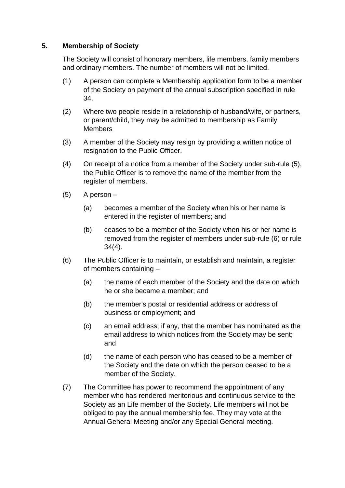# **5. Membership of Society**

The Society will consist of honorary members, life members, family members and ordinary members. The number of members will not be limited.

- (1) A person can complete a Membership application form to be a member of the Society on payment of the annual subscription specified in rule 34.
- (2) Where two people reside in a relationship of husband/wife, or partners, or parent/child, they may be admitted to membership as Family **Members**
- (3) A member of the Society may resign by providing a written notice of resignation to the Public Officer.
- (4) On receipt of a notice from a member of the Society under sub-rule (5), the Public Officer is to remove the name of the member from the register of members.
- (5) A person
	- (a) becomes a member of the Society when his or her name is entered in the register of members; and
	- (b) ceases to be a member of the Society when his or her name is removed from the register of members under sub-rule (6) or rule 34(4).
- (6) The Public Officer is to maintain, or establish and maintain, a register of members containing –
	- (a) the name of each member of the Society and the date on which he or she became a member; and
	- (b) the member's postal or residential address or address of business or employment; and
	- (c) an email address, if any, that the member has nominated as the email address to which notices from the Society may be sent; and
	- (d) the name of each person who has ceased to be a member of the Society and the date on which the person ceased to be a member of the Society.
- (7) The Committee has power to recommend the appointment of any member who has rendered meritorious and continuous service to the Society as an Life member of the Society. Life members will not be obliged to pay the annual membership fee. They may vote at the Annual General Meeting and/or any Special General meeting.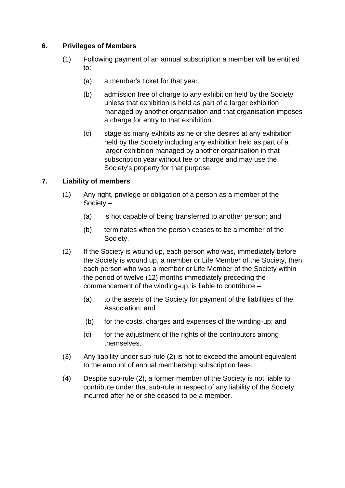### **6. Privileges of Members**

- (1) Following payment of an annual subscription a member will be entitled to:
	- (a) a member's ticket for that year.
	- (b) admission free of charge to any exhibition held by the Society unless that exhibition is held as part of a larger exhibition managed by another organisation and that organisation imposes a charge for entry to that exhibition.
	- (c) stage as many exhibits as he or she desires at any exhibition held by the Society including any exhibition held as part of a larger exhibition managed by another organisation in that subscription year without fee or charge and may use the Society's property for that purpose.

# **7. Liability of members**

- (1) Any right, privilege or obligation of a person as a member of the Society –
	- (a) is not capable of being transferred to another person; and
	- (b) terminates when the person ceases to be a member of the Society.
- (2) If the Society is wound up, each person who was, immediately before the Society is wound up, a member or Life Member of the Society, then each person who was a member or Life Member of the Society within the period of twelve (12) months immediately preceding the commencement of the winding-up, is liable to contribute –
	- (a) to the assets of the Society for payment of the liabilities of the Association; and
	- (b) for the costs, charges and expenses of the winding-up; and
	- (c) for the adjustment of the rights of the contributors among themselves.
- (3) Any liability under sub-rule (2) is not to exceed the amount equivalent to the amount of annual membership subscription fees.
- (4) Despite sub-rule (2), a former member of the Society is not liable to contribute under that sub-rule in respect of any liability of the Society incurred after he or she ceased to be a member.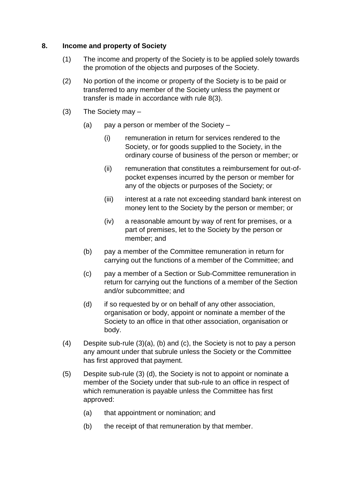### **8. Income and property of Society**

- (1) The income and property of the Society is to be applied solely towards the promotion of the objects and purposes of the Society.
- (2) No portion of the income or property of the Society is to be paid or transferred to any member of the Society unless the payment or transfer is made in accordance with rule 8(3).
- (3) The Society may
	- (a) pay a person or member of the Society  $-$ 
		- (i) remuneration in return for services rendered to the Society, or for goods supplied to the Society, in the ordinary course of business of the person or member; or
		- (ii) remuneration that constitutes a reimbursement for out-ofpocket expenses incurred by the person or member for any of the objects or purposes of the Society; or
		- (iii) interest at a rate not exceeding standard bank interest on money lent to the Society by the person or member; or
		- (iv) a reasonable amount by way of rent for premises, or a part of premises, let to the Society by the person or member; and
	- (b) pay a member of the Committee remuneration in return for carrying out the functions of a member of the Committee; and
	- (c) pay a member of a Section or Sub-Committee remuneration in return for carrying out the functions of a member of the Section and/or subcommittee; and
	- (d) if so requested by or on behalf of any other association, organisation or body, appoint or nominate a member of the Society to an office in that other association, organisation or body.
- (4) Despite sub-rule (3)(a), (b) and (c), the Society is not to pay a person any amount under that subrule unless the Society or the Committee has first approved that payment.
- (5) Despite sub-rule (3) (d), the Society is not to appoint or nominate a member of the Society under that sub-rule to an office in respect of which remuneration is payable unless the Committee has first approved:
	- (a) that appointment or nomination; and
	- (b) the receipt of that remuneration by that member.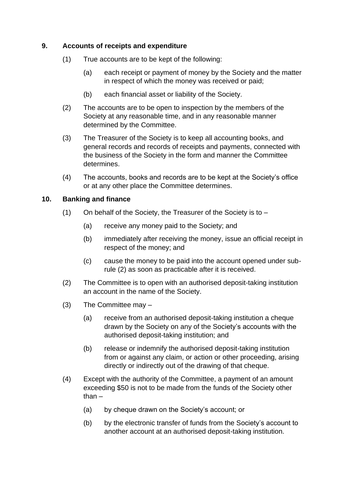# **9. Accounts of receipts and expenditure**

- (1) True accounts are to be kept of the following:
	- (a) each receipt or payment of money by the Society and the matter in respect of which the money was received or paid;
	- (b) each financial asset or liability of the Society.
- (2) The accounts are to be open to inspection by the members of the Society at any reasonable time, and in any reasonable manner determined by the Committee.
- (3) The Treasurer of the Society is to keep all accounting books, and general records and records of receipts and payments, connected with the business of the Society in the form and manner the Committee determines.
- (4) The accounts, books and records are to be kept at the Society's office or at any other place the Committee determines.

### **10. Banking and finance**

- (1) On behalf of the Society, the Treasurer of the Society is to  $-$ 
	- (a) receive any money paid to the Society; and
	- (b) immediately after receiving the money, issue an official receipt in respect of the money; and
	- (c) cause the money to be paid into the account opened under subrule (2) as soon as practicable after it is received.
- (2) The Committee is to open with an authorised deposit-taking institution an account in the name of the Society.
- (3) The Committee may
	- (a) receive from an authorised deposit-taking institution a cheque drawn by the Society on any of the Society's accounts with the authorised deposit-taking institution; and
	- (b) release or indemnify the authorised deposit-taking institution from or against any claim, or action or other proceeding, arising directly or indirectly out of the drawing of that cheque.
- (4) Except with the authority of the Committee, a payment of an amount exceeding \$50 is not to be made from the funds of the Society other than –
	- (a) by cheque drawn on the Society's account; or
	- (b) by the electronic transfer of funds from the Society's account to another account at an authorised deposit-taking institution.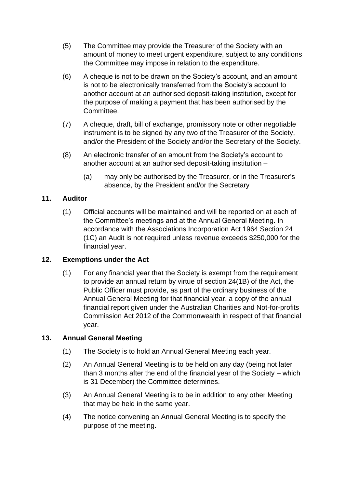- (5) The Committee may provide the Treasurer of the Society with an amount of money to meet urgent expenditure, subject to any conditions the Committee may impose in relation to the expenditure.
- (6) A cheque is not to be drawn on the Society's account, and an amount is not to be electronically transferred from the Society's account to another account at an authorised deposit-taking institution, except for the purpose of making a payment that has been authorised by the Committee.
- (7) A cheque, draft, bill of exchange, promissory note or other negotiable instrument is to be signed by any two of the Treasurer of the Society, and/or the President of the Society and/or the Secretary of the Society.
- (8) An electronic transfer of an amount from the Society's account to another account at an authorised deposit-taking institution –
	- (a) may only be authorised by the Treasurer, or in the Treasurer's absence, by the President and/or the Secretary

# **11. Auditor**

(1) Official accounts will be maintained and will be reported on at each of the Committee's meetings and at the Annual General Meeting. In accordance with the Associations Incorporation Act 1964 Section 24 (1C) an Audit is not required unless revenue exceeds \$250,000 for the financial year.

# **12. Exemptions under the Act**

(1) For any financial year that the Society is exempt from the requirement to provide an annual return by virtue of section 24(1B) of the Act, the Public Officer must provide, as part of the ordinary business of the Annual General Meeting for that financial year, a copy of the annual financial report given under the Australian Charities and Not-for-profits Commission Act 2012 of the Commonwealth in respect of that financial year.

# **13. Annual General Meeting**

- (1) The Society is to hold an Annual General Meeting each year.
- (2) An Annual General Meeting is to be held on any day (being not later than 3 months after the end of the financial year of the Society – which is 31 December) the Committee determines.
- (3) An Annual General Meeting is to be in addition to any other Meeting that may be held in the same year.
- (4) The notice convening an Annual General Meeting is to specify the purpose of the meeting.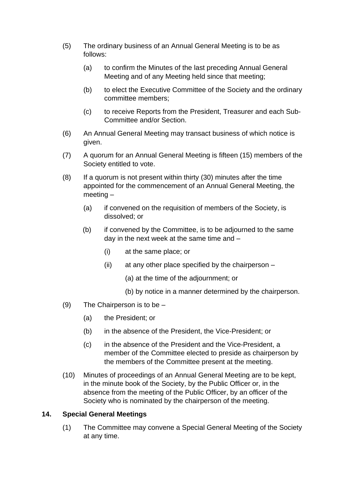- (5) The ordinary business of an Annual General Meeting is to be as follows:
	- (a) to confirm the Minutes of the last preceding Annual General Meeting and of any Meeting held since that meeting;
	- (b) to elect the Executive Committee of the Society and the ordinary committee members;
	- (c) to receive Reports from the President, Treasurer and each Sub-Committee and/or Section.
- (6) An Annual General Meeting may transact business of which notice is given.
- (7) A quorum for an Annual General Meeting is fifteen (15) members of the Society entitled to vote.
- (8) If a quorum is not present within thirty (30) minutes after the time appointed for the commencement of an Annual General Meeting, the meeting –
	- (a) if convened on the requisition of members of the Society, is dissolved; or
	- (b) if convened by the Committee, is to be adjourned to the same day in the next week at the same time and –
		- (i) at the same place; or
		- $(ii)$  at any other place specified by the chairperson  $-$ 
			- (a) at the time of the adjournment; or
			- (b) by notice in a manner determined by the chairperson.
- (9) The Chairperson is to be
	- (a) the President; or
	- (b) in the absence of the President, the Vice-President; or
	- (c) in the absence of the President and the Vice-President, a member of the Committee elected to preside as chairperson by the members of the Committee present at the meeting.
- (10) Minutes of proceedings of an Annual General Meeting are to be kept, in the minute book of the Society, by the Public Officer or, in the absence from the meeting of the Public Officer, by an officer of the Society who is nominated by the chairperson of the meeting.

# **14. Special General Meetings**

(1) The Committee may convene a Special General Meeting of the Society at any time.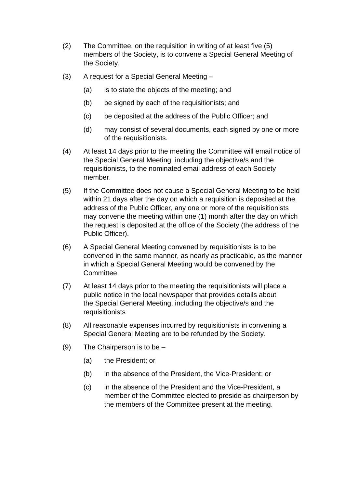- (2) The Committee, on the requisition in writing of at least five (5) members of the Society, is to convene a Special General Meeting of the Society.
- (3) A request for a Special General Meeting
	- (a) is to state the objects of the meeting; and
	- (b) be signed by each of the requisitionists; and
	- (c) be deposited at the address of the Public Officer; and
	- (d) may consist of several documents, each signed by one or more of the requisitionists.
- (4) At least 14 days prior to the meeting the Committee will email notice of the Special General Meeting, including the objective/s and the requisitionists, to the nominated email address of each Society member.
- (5) If the Committee does not cause a Special General Meeting to be held within 21 days after the day on which a requisition is deposited at the address of the Public Officer, any one or more of the requisitionists may convene the meeting within one (1) month after the day on which the request is deposited at the office of the Society (the address of the Public Officer).
- (6) A Special General Meeting convened by requisitionists is to be convened in the same manner, as nearly as practicable, as the manner in which a Special General Meeting would be convened by the **Committee.**
- (7) At least 14 days prior to the meeting the requisitionists will place a public notice in the local newspaper that provides details about the Special General Meeting, including the objective/s and the requisitionists
- (8) All reasonable expenses incurred by requisitionists in convening a Special General Meeting are to be refunded by the Society.
- (9) The Chairperson is to be
	- (a) the President; or
	- (b) in the absence of the President, the Vice-President; or
	- (c) in the absence of the President and the Vice-President, a member of the Committee elected to preside as chairperson by the members of the Committee present at the meeting.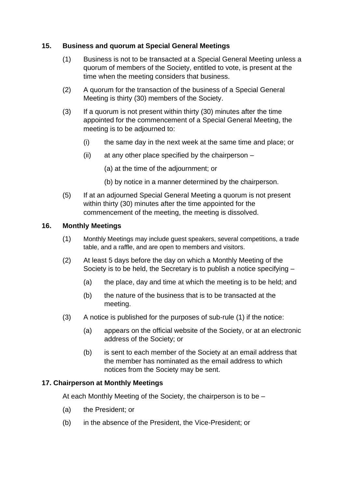### **15. Business and quorum at Special General Meetings**

- (1) Business is not to be transacted at a Special General Meeting unless a quorum of members of the Society, entitled to vote, is present at the time when the meeting considers that business.
- (2) A quorum for the transaction of the business of a Special General Meeting is thirty (30) members of the Society.
- (3) If a quorum is not present within thirty (30) minutes after the time appointed for the commencement of a Special General Meeting, the meeting is to be adjourned to:
	- (i) the same day in the next week at the same time and place; or
	- (ii) at any other place specified by the chairperson
		- (a) at the time of the adjournment; or
		- (b) by notice in a manner determined by the chairperson.
- (5) If at an adjourned Special General Meeting a quorum is not present within thirty (30) minutes after the time appointed for the commencement of the meeting, the meeting is dissolved.

#### **16. Monthly Meetings**

- (1) Monthly Meetings may include guest speakers, several competitions, a trade table, and a raffle, and are open to members and visitors.
- (2) At least 5 days before the day on which a Monthly Meeting of the Society is to be held, the Secretary is to publish a notice specifying –
	- (a) the place, day and time at which the meeting is to be held; and
	- (b) the nature of the business that is to be transacted at the meeting.
- (3) A notice is published for the purposes of sub-rule (1) if the notice:
	- (a) appears on the official website of the Society, or at an electronic address of the Society; or
	- (b) is sent to each member of the Society at an email address that the member has nominated as the email address to which notices from the Society may be sent.

#### **17. Chairperson at Monthly Meetings**

At each Monthly Meeting of the Society, the chairperson is to be –

- (a) the President; or
- (b) in the absence of the President, the Vice-President; or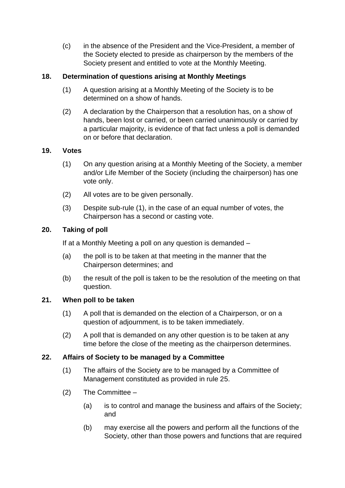(c) in the absence of the President and the Vice-President, a member of the Society elected to preside as chairperson by the members of the Society present and entitled to vote at the Monthly Meeting.

# **18. Determination of questions arising at Monthly Meetings**

- (1) A question arising at a Monthly Meeting of the Society is to be determined on a show of hands.
- (2) A declaration by the Chairperson that a resolution has, on a show of hands, been lost or carried, or been carried unanimously or carried by a particular majority, is evidence of that fact unless a poll is demanded on or before that declaration.

### **19. Votes**

- (1) On any question arising at a Monthly Meeting of the Society, a member and/or Life Member of the Society (including the chairperson) has one vote only.
- (2) All votes are to be given personally.
- (3) Despite sub-rule (1), in the case of an equal number of votes, the Chairperson has a second or casting vote.

### **20. Taking of poll**

If at a Monthly Meeting a poll on any question is demanded –

- (a) the poll is to be taken at that meeting in the manner that the Chairperson determines; and
- (b) the result of the poll is taken to be the resolution of the meeting on that question.

# **21. When poll to be taken**

- (1) A poll that is demanded on the election of a Chairperson, or on a question of adjournment, is to be taken immediately.
- (2) A poll that is demanded on any other question is to be taken at any time before the close of the meeting as the chairperson determines.

# **22. Affairs of Society to be managed by a Committee**

- (1) The affairs of the Society are to be managed by a Committee of Management constituted as provided in rule 25.
- (2) The Committee
	- (a) is to control and manage the business and affairs of the Society; and
	- (b) may exercise all the powers and perform all the functions of the Society, other than those powers and functions that are required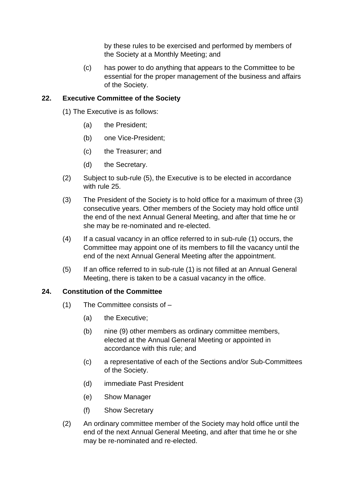by these rules to be exercised and performed by members of the Society at a Monthly Meeting; and

(c) has power to do anything that appears to the Committee to be essential for the proper management of the business and affairs of the Society.

# **22. Executive Committee of the Society**

- (1) The Executive is as follows:
	- (a) the President;
	- (b) one Vice-President;
	- (c) the Treasurer; and
	- (d) the Secretary.
- (2) Subject to sub-rule (5), the Executive is to be elected in accordance with rule 25.
- (3) The President of the Society is to hold office for a maximum of three (3) consecutive years. Other members of the Society may hold office until the end of the next Annual General Meeting, and after that time he or she may be re-nominated and re-elected.
- (4) If a casual vacancy in an office referred to in sub-rule (1) occurs, the Committee may appoint one of its members to fill the vacancy until the end of the next Annual General Meeting after the appointment.
- (5) If an office referred to in sub-rule (1) is not filled at an Annual General Meeting, there is taken to be a casual vacancy in the office.

# **24. Constitution of the Committee**

- (1) The Committee consists of
	- (a) the Executive;
	- (b) nine (9) other members as ordinary committee members, elected at the Annual General Meeting or appointed in accordance with this rule; and
	- (c) a representative of each of the Sections and/or Sub-Committees of the Society.
	- (d) immediate Past President
	- (e) Show Manager
	- (f) Show Secretary
- (2) An ordinary committee member of the Society may hold office until the end of the next Annual General Meeting, and after that time he or she may be re-nominated and re-elected.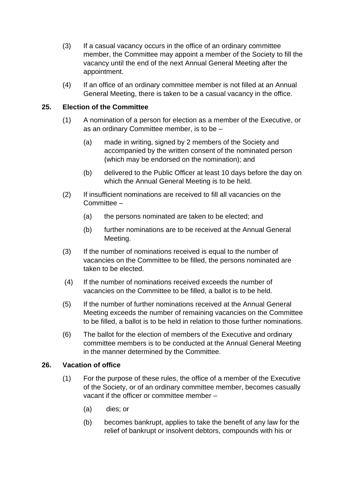- (3) If a casual vacancy occurs in the office of an ordinary committee member, the Committee may appoint a member of the Society to fill the vacancy until the end of the next Annual General Meeting after the appointment.
- (4) If an office of an ordinary committee member is not filled at an Annual General Meeting, there is taken to be a casual vacancy in the office.

### **25. Election of the Committee**

- (1) A nomination of a person for election as a member of the Executive, or as an ordinary Committee member, is to be –
	- (a) made in writing, signed by 2 members of the Society and accompanied by the written consent of the nominated person (which may be endorsed on the nomination); and
	- (b) delivered to the Public Officer at least 10 days before the day on which the Annual General Meeting is to be held.
- (2) If insufficient nominations are received to fill all vacancies on the Committee –
	- (a) the persons nominated are taken to be elected; and
	- (b) further nominations are to be received at the Annual General Meeting.
- (3) If the number of nominations received is equal to the number of vacancies on the Committee to be filled, the persons nominated are taken to be elected.
- (4) If the number of nominations received exceeds the number of vacancies on the Committee to be filled, a ballot is to be held.
- (5) If the number of further nominations received at the Annual General Meeting exceeds the number of remaining vacancies on the Committee to be filled, a ballot is to be held in relation to those further nominations.
- (6) The ballot for the election of members of the Executive and ordinary committee members is to be conducted at the Annual General Meeting in the manner determined by the Committee.

#### **26. Vacation of office**

- (1) For the purpose of these rules, the office of a member of the Executive of the Society, or of an ordinary committee member, becomes casually vacant if the officer or committee member –
	- (a) dies; or
	- (b) becomes bankrupt, applies to take the benefit of any law for the relief of bankrupt or insolvent debtors, compounds with his or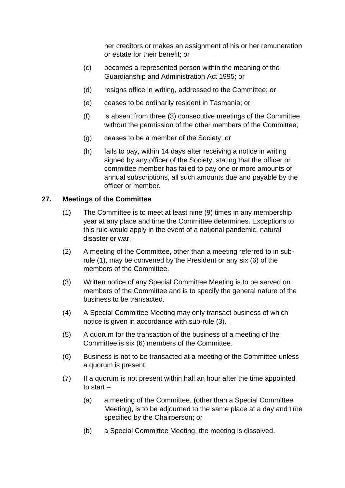her creditors or makes an assignment of his or her remuneration or estate for their benefit; or

- (c) becomes a represented person within the meaning of the Guardianship and Administration Act 1995; or
- (d) resigns office in writing, addressed to the Committee; or
- (e) ceases to be ordinarily resident in Tasmania; or
- (f) is absent from three (3) consecutive meetings of the Committee without the permission of the other members of the Committee;
- (g) ceases to be a member of the Society; or
- (h) fails to pay, within 14 days after receiving a notice in writing signed by any officer of the Society, stating that the officer or committee member has failed to pay one or more amounts of annual subscriptions, all such amounts due and payable by the officer or member.

### **27. Meetings of the Committee**

- (1) The Committee is to meet at least nine (9) times in any membership year at any place and time the Committee determines. Exceptions to this rule would apply in the event of a national pandemic, natural disaster or war.
- (2) A meeting of the Committee, other than a meeting referred to in subrule (1), may be convened by the President or any six (6) of the members of the Committee.
- (3) Written notice of any Special Committee Meeting is to be served on members of the Committee and is to specify the general nature of the business to be transacted.
- (4) A Special Committee Meeting may only transact business of which notice is given in accordance with sub-rule (3).
- (5) A quorum for the transaction of the business of a meeting of the Committee is six (6) members of the Committee.
- (6) Business is not to be transacted at a meeting of the Committee unless a quorum is present.
- (7) If a quorum is not present within half an hour after the time appointed to start –
	- (a) a meeting of the Committee, (other than a Special Committee Meeting), is to be adjourned to the same place at a day and time specified by the Chairperson; or
	- (b) a Special Committee Meeting, the meeting is dissolved.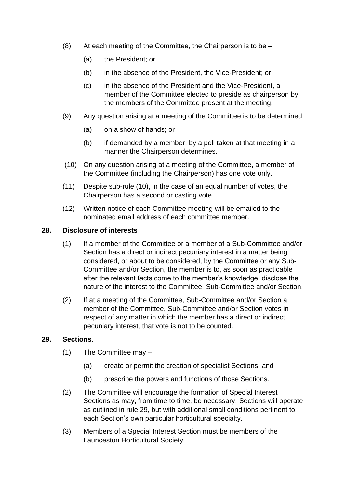- $(8)$  At each meeting of the Committee, the Chairperson is to be
	- (a) the President; or
	- (b) in the absence of the President, the Vice-President; or
	- (c) in the absence of the President and the Vice-President, a member of the Committee elected to preside as chairperson by the members of the Committee present at the meeting.
- (9) Any question arising at a meeting of the Committee is to be determined
	- (a) on a show of hands; or
	- (b) if demanded by a member, by a poll taken at that meeting in a manner the Chairperson determines.
- (10) On any question arising at a meeting of the Committee, a member of the Committee (including the Chairperson) has one vote only.
- (11) Despite sub-rule (10), in the case of an equal number of votes, the Chairperson has a second or casting vote.
- (12) Written notice of each Committee meeting will be emailed to the nominated email address of each committee member.

#### **28. Disclosure of interests**

- (1) If a member of the Committee or a member of a Sub-Committee and/or Section has a direct or indirect pecuniary interest in a matter being considered, or about to be considered, by the Committee or any Sub-Committee and/or Section, the member is to, as soon as practicable after the relevant facts come to the member's knowledge, disclose the nature of the interest to the Committee, Sub-Committee and/or Section.
- (2) If at a meeting of the Committee, Sub-Committee and/or Section a member of the Committee, Sub-Committee and/or Section votes in respect of any matter in which the member has a direct or indirect pecuniary interest, that vote is not to be counted.

#### **29. Sections**.

- (1) The Committee may
	- (a) create or permit the creation of specialist Sections; and
	- (b) prescribe the powers and functions of those Sections.
- (2) The Committee will encourage the formation of Special Interest Sections as may, from time to time, be necessary. Sections will operate as outlined in rule 29, but with additional small conditions pertinent to each Section's own particular horticultural specialty.
- (3) Members of a Special Interest Section must be members of the Launceston Horticultural Society.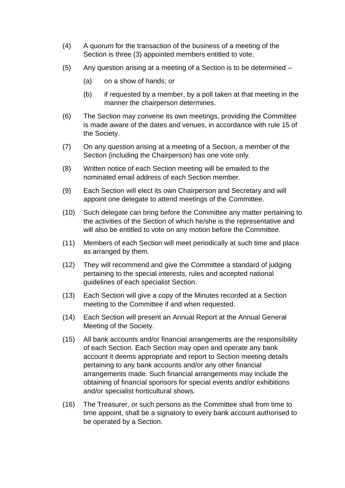- (4) A quorum for the transaction of the business of a meeting of the Section is three (3) appointed members entitled to vote.
- (5) Any question arising at a meeting of a Section is to be determined
	- (a) on a show of hands; or
	- (b) if requested by a member, by a poll taken at that meeting in the manner the chairperson determines.
- (6) The Section may convene its own meetings, providing the Committee is made aware of the dates and venues, in accordance with rule 15 of the Society.
- (7) On any question arising at a meeting of a Section, a member of the Section (including the Chairperson) has one vote only.
- (8) Written notice of each Section meeting will be emailed to the nominated email address of each Section member.
- (9) Each Section will elect its own Chairperson and Secretary and will appoint one delegate to attend meetings of the Committee.
- (10) Such delegate can bring before the Committee any matter pertaining to the activities of the Section of which he/she is the representative and will also be entitled to vote on any motion before the Committee.
- (11) Members of each Section will meet periodically at such time and place as arranged by them.
- (12) They will recommend and give the Committee a standard of judging pertaining to the special interests, rules and accepted national guidelines of each specialist Section.
- (13) Each Section will give a copy of the Minutes recorded at a Section meeting to the Committee if and when requested.
- (14) Each Section will present an Annual Report at the Annual General Meeting of the Society.
- (15) All bank accounts and/or financial arrangements are the responsibility of each Section. Each Section may open and operate any bank account it deems appropriate and report to Section meeting details pertaining to any bank accounts and/or any other financial arrangements made. Such financial arrangements may include the obtaining of financial sponsors for special events and/or exhibitions and/or specialist horticultural shows.
- (16) The Treasurer, or such persons as the Committee shall from time to time appoint, shall be a signatory to every bank account authorised to be operated by a Section.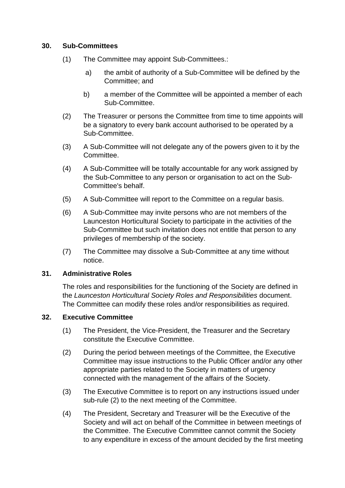### **30. Sub-Committees**

- (1) The Committee may appoint Sub-Committees.:
	- a) the ambit of authority of a Sub-Committee will be defined by the Committee; and
	- b) a member of the Committee will be appointed a member of each Sub-Committee.
- (2) The Treasurer or persons the Committee from time to time appoints will be a signatory to every bank account authorised to be operated by a Sub-Committee.
- (3) A Sub-Committee will not delegate any of the powers given to it by the Committee.
- (4) A Sub-Committee will be totally accountable for any work assigned by the Sub-Committee to any person or organisation to act on the Sub-Committee's behalf.
- (5) A Sub-Committee will report to the Committee on a regular basis.
- (6) A Sub-Committee may invite persons who are not members of the Launceston Horticultural Society to participate in the activities of the Sub-Committee but such invitation does not entitle that person to any privileges of membership of the society.
- (7) The Committee may dissolve a Sub-Committee at any time without notice.

#### **31. Administrative Roles**

The roles and responsibilities for the functioning of the Society are defined in the *Launceston Horticultural Society Roles and Responsibilities* document. The Committee can modify these roles and/or responsibilities as required.

# **32. Executive Committee**

- (1) The President, the Vice-President, the Treasurer and the Secretary constitute the Executive Committee.
- (2) During the period between meetings of the Committee, the Executive Committee may issue instructions to the Public Officer and/or any other appropriate parties related to the Society in matters of urgency connected with the management of the affairs of the Society.
- (3) The Executive Committee is to report on any instructions issued under sub-rule (2) to the next meeting of the Committee.
- (4) The President, Secretary and Treasurer will be the Executive of the Society and will act on behalf of the Committee in between meetings of the Committee. The Executive Committee cannot commit the Society to any expenditure in excess of the amount decided by the first meeting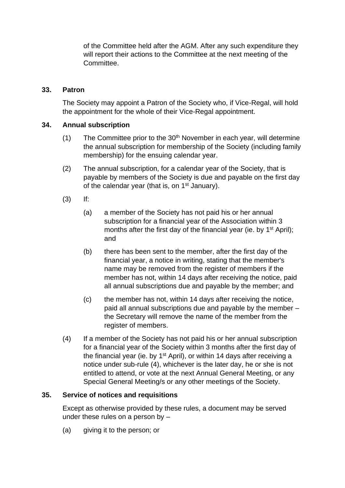of the Committee held after the AGM. After any such expenditure they will report their actions to the Committee at the next meeting of the Committee.

#### **33. Patron**

The Society may appoint a Patron of the Society who, if Vice-Regal, will hold the appointment for the whole of their Vice-Regal appointment.

### **34. Annual subscription**

- (1) The Committee prior to the  $30<sup>th</sup>$  November in each year, will determine the annual subscription for membership of the Society (including family membership) for the ensuing calendar year.
- (2) The annual subscription, for a calendar year of the Society, that is payable by members of the Society is due and payable on the first day of the calendar year (that is, on 1<sup>st</sup> January).
- (3) If:
	- (a) a member of the Society has not paid his or her annual subscription for a financial year of the Association within 3 months after the first day of the financial year (ie. by  $1<sup>st</sup>$  April); and
	- (b) there has been sent to the member, after the first day of the financial year, a notice in writing, stating that the member's name may be removed from the register of members if the member has not, within 14 days after receiving the notice, paid all annual subscriptions due and payable by the member; and
	- (c) the member has not, within 14 days after receiving the notice, paid all annual subscriptions due and payable by the member – the Secretary will remove the name of the member from the register of members.
- (4) If a member of the Society has not paid his or her annual subscription for a financial year of the Society within 3 months after the first day of the financial year (ie. by 1<sup>st</sup> April), or within 14 days after receiving a notice under sub-rule (4), whichever is the later day, he or she is not entitled to attend, or vote at the next Annual General Meeting, or any Special General Meeting/s or any other meetings of the Society.

#### **35. Service of notices and requisitions**

Except as otherwise provided by these rules, a document may be served under these rules on a person by –

(a) giving it to the person; or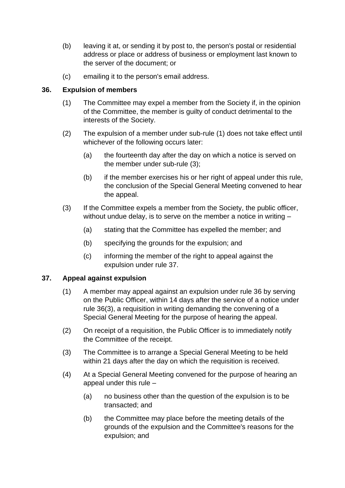- (b) leaving it at, or sending it by post to, the person's postal or residential address or place or address of business or employment last known to the server of the document; or
- (c) emailing it to the person's email address.

### **36. Expulsion of members**

- (1) The Committee may expel a member from the Society if, in the opinion of the Committee, the member is guilty of conduct detrimental to the interests of the Society.
- (2) The expulsion of a member under sub-rule (1) does not take effect until whichever of the following occurs later:
	- (a) the fourteenth day after the day on which a notice is served on the member under sub-rule (3);
	- (b) if the member exercises his or her right of appeal under this rule, the conclusion of the Special General Meeting convened to hear the appeal.
- (3) If the Committee expels a member from the Society, the public officer, without undue delay, is to serve on the member a notice in writing –
	- (a) stating that the Committee has expelled the member; and
	- (b) specifying the grounds for the expulsion; and
	- (c) informing the member of the right to appeal against the expulsion under rule 37.

# **37. Appeal against expulsion**

- (1) A member may appeal against an expulsion under rule 36 by serving on the Public Officer, within 14 days after the service of a notice under rule 36(3), a requisition in writing demanding the convening of a Special General Meeting for the purpose of hearing the appeal.
- (2) On receipt of a requisition, the Public Officer is to immediately notify the Committee of the receipt.
- (3) The Committee is to arrange a Special General Meeting to be held within 21 days after the day on which the requisition is received.
- (4) At a Special General Meeting convened for the purpose of hearing an appeal under this rule –
	- (a) no business other than the question of the expulsion is to be transacted; and
	- (b) the Committee may place before the meeting details of the grounds of the expulsion and the Committee's reasons for the expulsion; and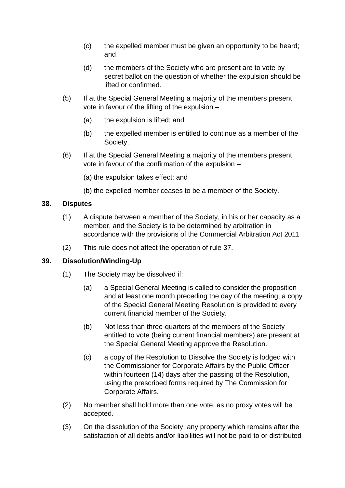- (c) the expelled member must be given an opportunity to be heard; and
- (d) the members of the Society who are present are to vote by secret ballot on the question of whether the expulsion should be lifted or confirmed.
- (5) If at the Special General Meeting a majority of the members present vote in favour of the lifting of the expulsion –
	- (a) the expulsion is lifted; and
	- (b) the expelled member is entitled to continue as a member of the Society.
- (6) If at the Special General Meeting a majority of the members present vote in favour of the confirmation of the expulsion –
	- (a) the expulsion takes effect; and
	- (b) the expelled member ceases to be a member of the Society.

### **38. Disputes**

- (1) A dispute between a member of the Society, in his or her capacity as a member, and the Society is to be determined by arbitration in accordance with the provisions of the Commercial Arbitration Act 2011
- (2) This rule does not affect the operation of rule 37.

# **39. Dissolution/Winding-Up**

- (1) The Society may be dissolved if:
	- (a) a Special General Meeting is called to consider the proposition and at least one month preceding the day of the meeting, a copy of the Special General Meeting Resolution is provided to every current financial member of the Society.
	- (b) Not less than three-quarters of the members of the Society entitled to vote (being current financial members) are present at the Special General Meeting approve the Resolution.
	- (c) a copy of the Resolution to Dissolve the Society is lodged with the Commissioner for Corporate Affairs by the Public Officer within fourteen (14) days after the passing of the Resolution, using the prescribed forms required by The Commission for Corporate Affairs.
- (2) No member shall hold more than one vote, as no proxy votes will be accepted.
- (3) On the dissolution of the Society, any property which remains after the satisfaction of all debts and/or liabilities will not be paid to or distributed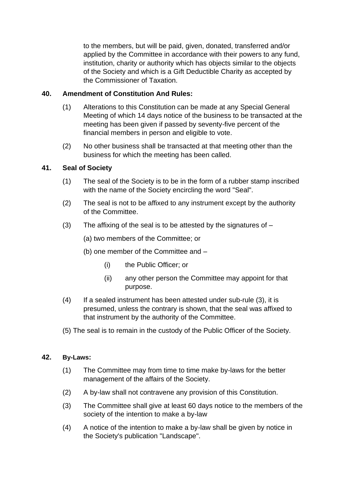to the members, but will be paid, given, donated, transferred and/or applied by the Committee in accordance with their powers to any fund, institution, charity or authority which has objects similar to the objects of the Society and which is a Gift Deductible Charity as accepted by the Commissioner of Taxation.

### **40. Amendment of Constitution And Rules:**

- (1) Alterations to this Constitution can be made at any Special General Meeting of which 14 days notice of the business to be transacted at the meeting has been given if passed by seventy-five percent of the financial members in person and eligible to vote.
- (2) No other business shall be transacted at that meeting other than the business for which the meeting has been called.

### **41. Seal of Society**

- (1) The seal of the Society is to be in the form of a rubber stamp inscribed with the name of the Society encircling the word "Seal".
- (2) The seal is not to be affixed to any instrument except by the authority of the Committee.
- (3) The affixing of the seal is to be attested by the signatures of  $-$

(a) two members of the Committee; or

(b) one member of the Committee and –

- (i) the Public Officer; or
- (ii) any other person the Committee may appoint for that purpose.
- (4) If a sealed instrument has been attested under sub-rule (3), it is presumed, unless the contrary is shown, that the seal was affixed to that instrument by the authority of the Committee.
- (5) The seal is to remain in the custody of the Public Officer of the Society.

#### **42. By-Laws:**

- (1) The Committee may from time to time make by-laws for the better management of the affairs of the Society.
- (2) A by-law shall not contravene any provision of this Constitution.
- (3) The Committee shall give at least 60 days notice to the members of the society of the intention to make a by-law
- (4) A notice of the intention to make a by-law shall be given by notice in the Society's publication "Landscape".